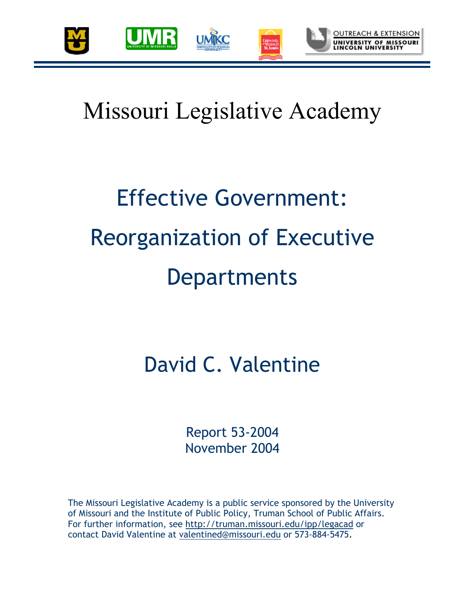

# Missouri Legislative Academy

# Effective Government: Reorganization of Executive **Departments**

### David C. Valentine

Report 53-2004 November 2004

The Missouri Legislative Academy is a public service sponsored by the University of Missouri and the Institute of Public Policy, Truman School of Public Affairs. For further information, see http://truman.missouri.edu/ipp/legacad or contact David Valentine at valentined@missouri.edu or 573-884-5475.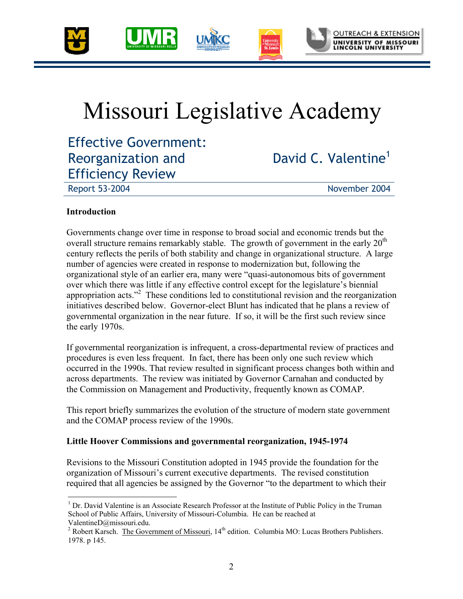

## Missouri Legislative Academy

Effective Government: Reorganization and Efficiency Review

David C. Valentine<sup>1</sup>

Report 53-2004 November 2004

#### **Introduction**

 $\overline{a}$ 

Governments change over time in response to broad social and economic trends but the overall structure remains remarkably stable. The growth of government in the early  $20<sup>th</sup>$ century reflects the perils of both stability and change in organizational structure. A large number of agencies were created in response to modernization but, following the organizational style of an earlier era, many were "quasi-autonomous bits of government over which there was little if any effective control except for the legislature's biennial appropriation acts."<sup>2</sup> These conditions led to constitutional revision and the reorganization initiatives described below. Governor-elect Blunt has indicated that he plans a review of governmental organization in the near future. If so, it will be the first such review since the early 1970s.

If governmental reorganization is infrequent, a cross-departmental review of practices and procedures is even less frequent. In fact, there has been only one such review which occurred in the 1990s. That review resulted in significant process changes both within and across departments. The review was initiated by Governor Carnahan and conducted by the Commission on Management and Productivity, frequently known as COMAP.

This report briefly summarizes the evolution of the structure of modern state government and the COMAP process review of the 1990s.

#### **Little Hoover Commissions and governmental reorganization, 1945-1974**

Revisions to the Missouri Constitution adopted in 1945 provide the foundation for the organization of Missouri's current executive departments. The revised constitution required that all agencies be assigned by the Governor "to the department to which their

<sup>&</sup>lt;sup>1</sup> Dr. David Valentine is an Associate Research Professor at the Institute of Public Policy in the Truman School of Public Affairs, University of Missouri-Columbia. He can be reached at ValentineD@missouri.edu.

<sup>&</sup>lt;sup>2</sup> Robert Karsch. The Government of Missouri,  $14<sup>th</sup>$  edition. Columbia MO: Lucas Brothers Publishers. 1978. p 145.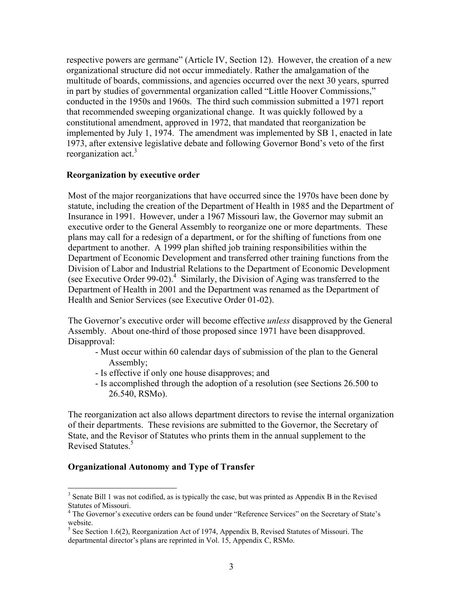respective powers are germane" (Article IV, Section 12). However, the creation of a new organizational structure did not occur immediately. Rather the amalgamation of the multitude of boards, commissions, and agencies occurred over the next 30 years, spurred in part by studies of governmental organization called "Little Hoover Commissions," conducted in the 1950s and 1960s. The third such commission submitted a 1971 report that recommended sweeping organizational change. It was quickly followed by a constitutional amendment, approved in 1972, that mandated that reorganization be implemented by July 1, 1974. The amendment was implemented by SB 1, enacted in late 1973, after extensive legislative debate and following Governor Bond's veto of the first reorganization act.<sup>3</sup>

#### **Reorganization by executive order**

Most of the major reorganizations that have occurred since the 1970s have been done by statute, including the creation of the Department of Health in 1985 and the Department of Insurance in 1991. However, under a 1967 Missouri law, the Governor may submit an executive order to the General Assembly to reorganize one or more departments. These plans may call for a redesign of a department, or for the shifting of functions from one department to another. A 1999 plan shifted job training responsibilities within the Department of Economic Development and transferred other training functions from the Division of Labor and Industrial Relations to the Department of Economic Development (see Executive Order 99-02).<sup>4</sup> Similarly, the Division of Aging was transferred to the Department of Health in 2001 and the Department was renamed as the Department of Health and Senior Services (see Executive Order 01-02).

The Governor's executive order will become effective *unless* disapproved by the General Assembly. About one-third of those proposed since 1971 have been disapproved. Disapproval:

- Must occur within 60 calendar days of submission of the plan to the General Assembly;
- Is effective if only one house disapproves; and
- Is accomplished through the adoption of a resolution (see Sections 26.500 to 26.540, RSMo).

The reorganization act also allows department directors to revise the internal organization of their departments. These revisions are submitted to the Governor, the Secretary of State, and the Revisor of Statutes who prints them in the annual supplement to the Revised Statutes.<sup>5</sup>

#### **Organizational Autonomy and Type of Transfer**

 $\overline{a}$ 

 $3$  Senate Bill 1 was not codified, as is typically the case, but was printed as Appendix B in the Revised Statutes of Missouri.

<sup>&</sup>lt;sup>4</sup> The Governor's executive orders can be found under "Reference Services" on the Secretary of State's website.

 $<sup>5</sup>$  See Section 1.6(2), Reorganization Act of 1974, Appendix B, Revised Statutes of Missouri. The</sup> departmental director's plans are reprinted in Vol. 15, Appendix C, RSMo.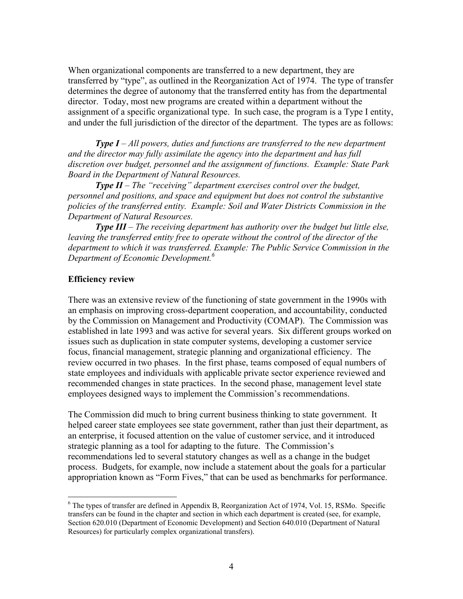When organizational components are transferred to a new department, they are transferred by "type", as outlined in the Reorganization Act of 1974. The type of transfer determines the degree of autonomy that the transferred entity has from the departmental director. Today, most new programs are created within a department without the assignment of a specific organizational type. In such case, the program is a Type I entity, and under the full jurisdiction of the director of the department. The types are as follows:

*Type I – All powers, duties and functions are transferred to the new department and the director may fully assimilate the agency into the department and has full discretion over budget, personnel and the assignment of functions. Example: State Park Board in the Department of Natural Resources.* 

*Type II – The "receiving" department exercises control over the budget, personnel and positions, and space and equipment but does not control the substantive policies of the transferred entity. Example: Soil and Water Districts Commission in the Department of Natural Resources.* 

*Type III – The receiving department has authority over the budget but little else, leaving the transferred entity free to operate without the control of the director of the department to which it was transferred. Example: The Public Service Commission in the Department of Economic Development.6*

#### **Efficiency review**

1

There was an extensive review of the functioning of state government in the 1990s with an emphasis on improving cross-department cooperation, and accountability, conducted by the Commission on Management and Productivity (COMAP). The Commission was established in late 1993 and was active for several years. Six different groups worked on issues such as duplication in state computer systems, developing a customer service focus, financial management, strategic planning and organizational efficiency. The review occurred in two phases. In the first phase, teams composed of equal numbers of state employees and individuals with applicable private sector experience reviewed and recommended changes in state practices. In the second phase, management level state employees designed ways to implement the Commission's recommendations.

The Commission did much to bring current business thinking to state government. It helped career state employees see state government, rather than just their department, as an enterprise, it focused attention on the value of customer service, and it introduced strategic planning as a tool for adapting to the future. The Commission's recommendations led to several statutory changes as well as a change in the budget process. Budgets, for example, now include a statement about the goals for a particular appropriation known as "Form Fives," that can be used as benchmarks for performance.

<sup>&</sup>lt;sup>6</sup> The types of transfer are defined in Appendix B, Reorganization Act of 1974, Vol. 15, RSMo. Specific transfers can be found in the chapter and section in which each department is created (see, for example, Section 620.010 (Department of Economic Development) and Section 640.010 (Department of Natural Resources) for particularly complex organizational transfers).